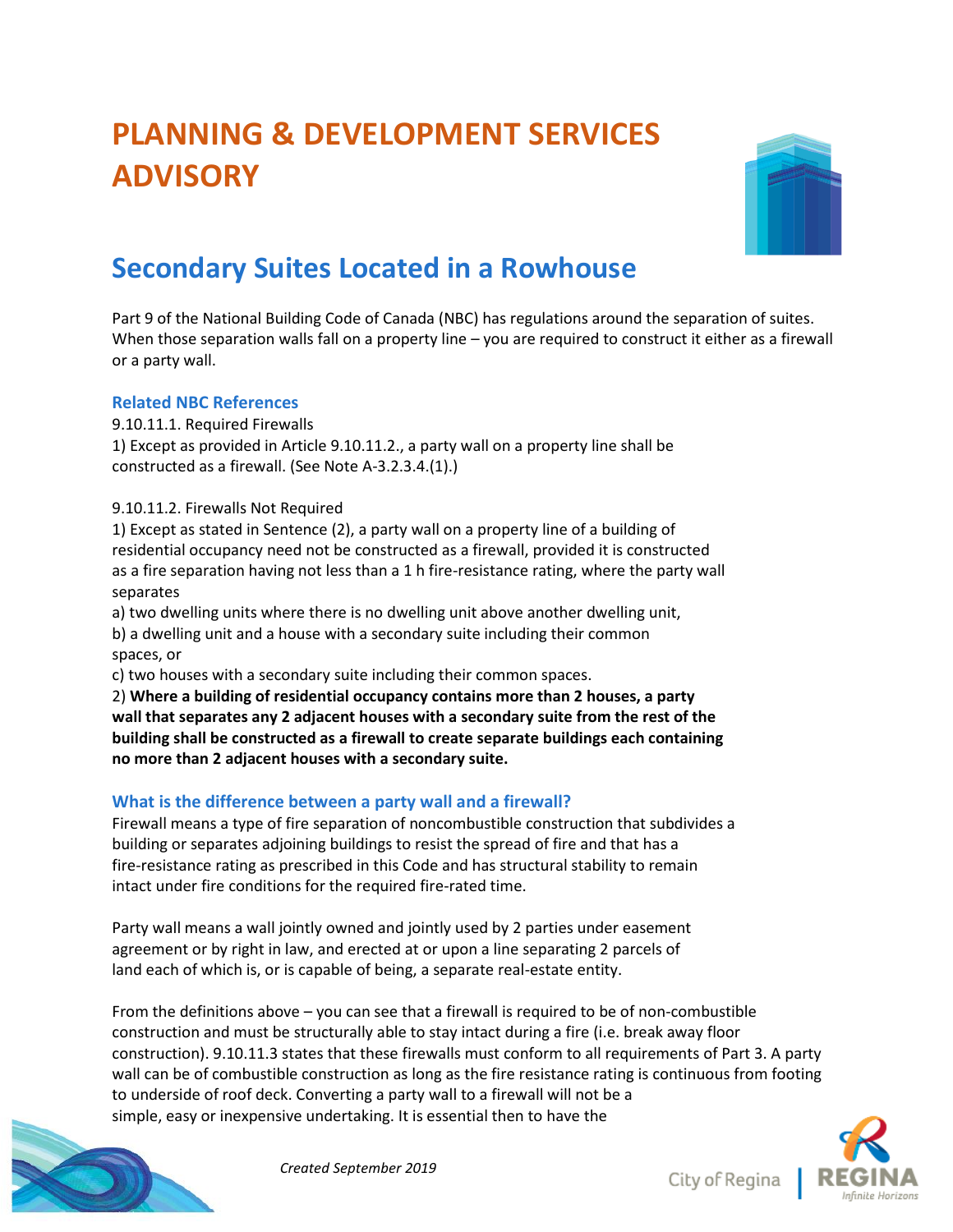# **PLANNING & DEVELOPMENT SERVICES ADVISORY**



## **Secondary Suites Located in a Rowhouse**

Part 9 of the National Building Code of Canada (NBC) has regulations around the separation of suites. When those separation walls fall on a property line – you are required to construct it either as a firewall or a party wall.

#### **Related NBC References**

9.10.11.1. Required Firewalls

1) Except as provided in Article 9.10.11.2., a party wall on a property line shall be constructed as a firewall. (See Note A-3.2.3.4.(1).)

9.10.11.2. Firewalls Not Required

1) Except as stated in Sentence (2), a party wall on a property line of a building of residential occupancy need not be constructed as a firewall, provided it is constructed as a fire separation having not less than a 1 h fire-resistance rating, where the party wall separates

a) two dwelling units where there is no dwelling unit above another dwelling unit, b) a dwelling unit and a house with a secondary suite including their common spaces, or

c) two houses with a secondary suite including their common spaces.

2) **Where a building of residential occupancy contains more than 2 houses, a party wall that separates any 2 adjacent houses with a secondary suite from the rest of the building shall be constructed as a firewall to create separate buildings each containing no more than 2 adjacent houses with a secondary suite.**

### **What is the difference between a party wall and a firewall?**

Firewall means a type of fire separation of noncombustible construction that subdivides a building or separates adjoining buildings to resist the spread of fire and that has a fire-resistance rating as prescribed in this Code and has structural stability to remain intact under fire conditions for the required fire-rated time.

Party wall means a wall jointly owned and jointly used by 2 parties under easement agreement or by right in law, and erected at or upon a line separating 2 parcels of land each of which is, or is capable of being, a separate real-estate entity.

From the definitions above – you can see that a firewall is required to be of non-combustible construction and must be structurally able to stay intact during a fire (i.e. break away floor construction). 9.10.11.3 states that these firewalls must conform to all requirements of Part 3. A party wall can be of combustible construction as long as the fire resistance rating is continuous from footing to underside of roof deck. Converting a party wall to a firewall will not be a simple, easy or inexpensive undertaking. It is essential then to have the